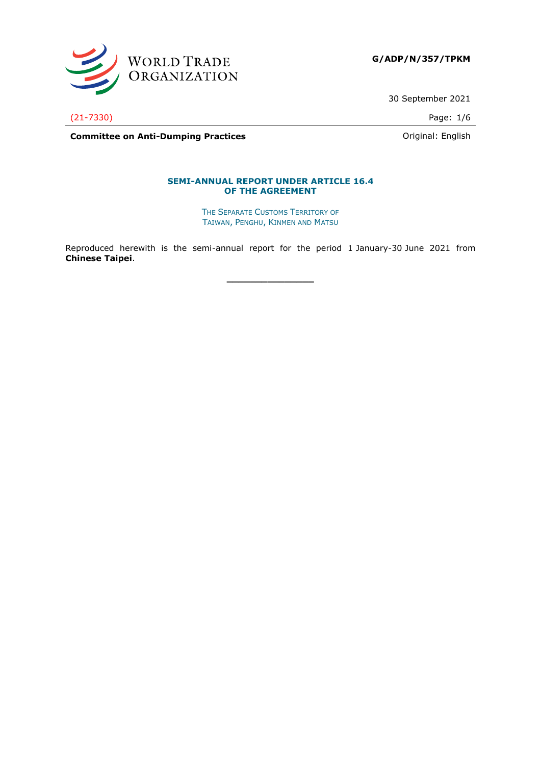

**G/ADP/N/357/TPKM**

30 September 2021

(21-7330) Page: 1/6

**Committee on Anti-Dumping Practices Committee on Anti-Dumping Practices Committee on Anti-Dumping Practices** 

## **SEMI-ANNUAL REPORT UNDER ARTICLE 16.4 OF THE AGREEMENT**

THE SEPARATE CUSTOMS TERRITORY OF TAIWAN, PENGHU, KINMEN AND MATSU

Reproduced herewith is the semi-annual report for the period 1 January-30 June 2021 from **Chinese Taipei**.

**\_\_\_\_\_\_\_\_\_\_\_\_\_\_\_**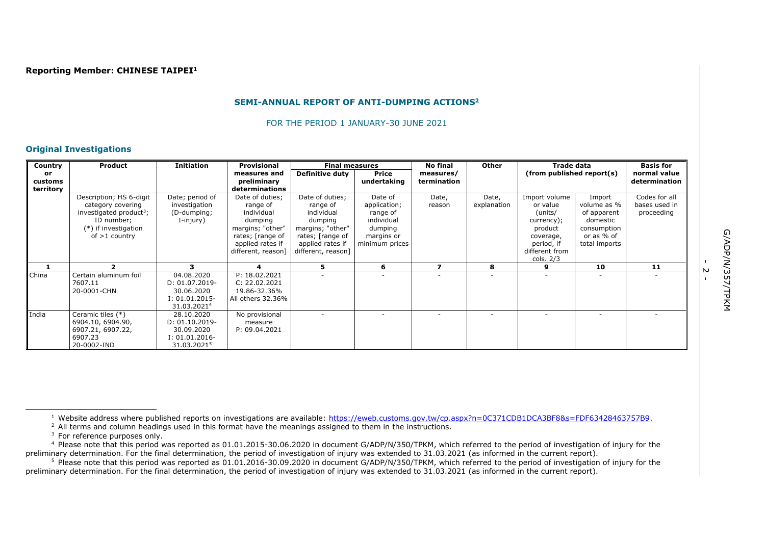### **SEMI-ANNUAL REPORT OF ANTI-DUMPING ACTIONS<sup>2</sup>**

FOR THE PERIOD 1 JANUARY-30 JUNE 2021

### **Original Investigations**

| Country                    | <b>Product</b>                                                                                                                               | <b>Initiation</b>                                                                             | <b>Provisional</b>                                                                                                                    | <b>Final measures</b>                                                                                                                  |                                                                                              | <b>No final</b>          | Other                    | <b>Trade data</b>                                                                                                         |                                                                                                | <b>Basis for</b>                             |
|----------------------------|----------------------------------------------------------------------------------------------------------------------------------------------|-----------------------------------------------------------------------------------------------|---------------------------------------------------------------------------------------------------------------------------------------|----------------------------------------------------------------------------------------------------------------------------------------|----------------------------------------------------------------------------------------------|--------------------------|--------------------------|---------------------------------------------------------------------------------------------------------------------------|------------------------------------------------------------------------------------------------|----------------------------------------------|
| or<br>customs<br>territory |                                                                                                                                              |                                                                                               | measures and<br>preliminary<br>determinations                                                                                         | <b>Definitive duty</b>                                                                                                                 | Price<br>undertaking                                                                         | measures/<br>termination |                          | (from published report(s)                                                                                                 |                                                                                                | normal value<br>determination                |
|                            | Description; HS 6-digit<br>category covering<br>investigated product <sup>3</sup> ;<br>ID number;<br>(*) if investigation<br>of $>1$ country | Date; period of<br>investigation<br>(D-dumping;<br>I-injury)                                  | Date of duties;<br>range of<br>individual<br>dumping<br>margins; "other"<br>rates; [range of<br>applied rates if<br>different, reason | Date of duties;<br>range of<br>individual<br>dumping<br>margins; "other"<br>rates; [range of<br>applied rates if<br>different, reason] | Date of<br>application;<br>range of<br>individual<br>dumping<br>margins or<br>minimum prices | Date,<br>reason          | Date,<br>explanation     | Import volume<br>or value<br>(units/<br>currency);<br>product<br>coverage,<br>period, if<br>different from<br>cols. $2/3$ | Import<br>volume as %<br>of apparent<br>domestic<br>consumption<br>or as % of<br>total imports | Codes for all<br>bases used in<br>proceeding |
|                            |                                                                                                                                              | 3                                                                                             | 4                                                                                                                                     | 5                                                                                                                                      | 6                                                                                            | 7                        | 8                        | 9                                                                                                                         | 10                                                                                             | 11                                           |
| China                      | Certain aluminum foil<br>7607.11<br>20-0001-CHN                                                                                              | 04.08.2020<br>D: 01.07.2019-<br>30.06.2020<br>$I: 01.01.2015$ -<br>31.03.20214                | P: 18.02.2021<br>C: 22.02.2021<br>19.86-32.36%<br>All others 32.36%                                                                   |                                                                                                                                        |                                                                                              |                          |                          |                                                                                                                           |                                                                                                |                                              |
| India                      | Ceramic tiles (*)<br>6904.10, 6904.90,<br>6907.21, 6907.22,<br>6907.23<br>20-0002-IND                                                        | 28.10.2020<br>$D: 01.10.2019 -$<br>30.09.2020<br>$I: 01.01.2016 -$<br>31.03.2021 <sup>5</sup> | No provisional<br>measure<br>P: 09.04.2021                                                                                            |                                                                                                                                        |                                                                                              |                          | $\overline{\phantom{a}}$ |                                                                                                                           |                                                                                                |                                              |

<sup>1</sup> Website address where published reports on investigations are available: [https://eweb.customs.gov.tw/cp.aspx?n=0C371CDB1DCA3BF8&s=FDF63428463757B9.](https://eweb.customs.gov.tw/cp.aspx?n=0C371CDB1DCA3BF8&s=FDF63428463757B9)

<sup>5</sup> Please note that this period was reported as 01.01.2016-30.09.2020 in document G/ADP/N/350/TPKM, which referred to the period of investigation of injury for the preliminary determination. For the final determination, the period of investigation of injury was extended to 31.03.2021 (as informed in the current report).

-  $\sim$ -

<sup>&</sup>lt;sup>2</sup> All terms and column headings used in this format have the meanings assigned to them in the instructions.

<sup>&</sup>lt;sup>3</sup> For reference purposes only.

<sup>4</sup> Please note that this period was reported as 01.01.2015-30.06.2020 in document G/ADP/N/350/TPKM, which referred to the period of investigation of injury for the preliminary determination. For the final determination, the period of investigation of injury was extended to 31.03.2021 (as informed in the current report).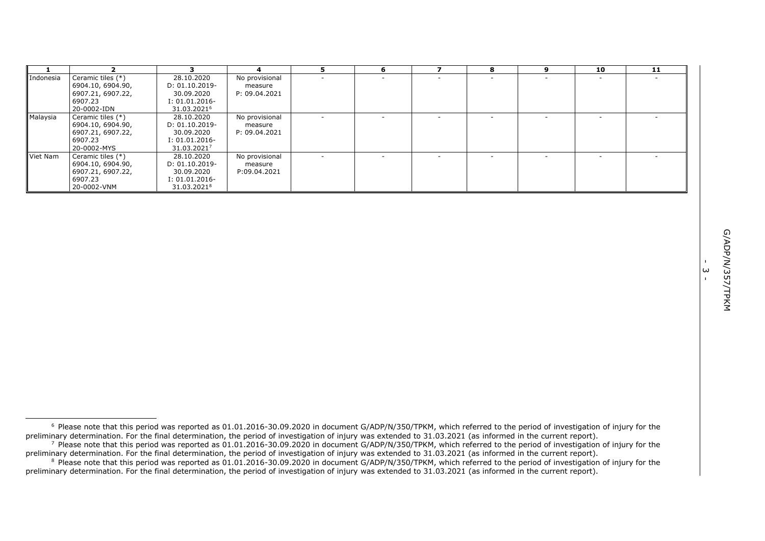|           |                     |                         |                | 6                        |                          | 8           | q | 10 | 11 |
|-----------|---------------------|-------------------------|----------------|--------------------------|--------------------------|-------------|---|----|----|
| Indonesia | Ceramic tiles $(*)$ | 28.10.2020              | No provisional | ۰                        |                          |             |   |    |    |
|           | 6904.10, 6904.90,   | $D: 01.10.2019 -$       | measure        |                          |                          |             |   |    |    |
|           | 6907.21, 6907.22,   | 30.09.2020              | P: 09.04.2021  |                          |                          |             |   |    |    |
|           | 6907.23             | I: 01.01.2016-          |                |                          |                          |             |   |    |    |
|           | 20-0002-IDN         | 31.03.2021 <sup>6</sup> |                |                          |                          |             |   |    |    |
| Malaysia  | Ceramic tiles (*)   | 28.10.2020              | No provisional | -                        | $\overline{\phantom{a}}$ |             |   |    |    |
|           | 6904.10, 6904.90,   | $D: 01.10.2019 -$       | measure        |                          |                          |             |   |    |    |
|           | 6907.21, 6907.22,   | 30.09.2020              | P: 09.04.2021  |                          |                          |             |   |    |    |
|           | 6907.23             | $I: 01.01.2016-$        |                |                          |                          |             |   |    |    |
|           | 20-0002-MYS         | 31.03.20217             |                |                          |                          |             |   |    |    |
| Viet Nam  | Ceramic tiles (*)   | 28.10.2020              | No provisional | $\overline{\phantom{a}}$ |                          | <b>1999</b> |   |    |    |
|           | 6904.10, 6904.90,   | $D: 01.10.2019 -$       | measure        |                          |                          |             |   |    |    |
|           | 6907.21, 6907.22,   | 30.09.2020              | P:09.04.2021   |                          |                          |             |   |    |    |
|           | 6907.23             | $I: 01.01.2016-$        |                |                          |                          |             |   |    |    |
|           | 20-0002-VNM         | 31.03.2021 <sup>8</sup> |                |                          |                          |             |   |    |    |

-

 $\omega$ -

<sup>&</sup>lt;sup>6</sup> Please note that this period was reported as 01.01.2016-30.09.2020 in document G/ADP/N/350/TPKM, which referred to the period of investigation of injury for the preliminary determination. For the final determination, the period of investigation of injury was extended to 31.03.2021 (as informed in the current report).

 $7$  Please note that this period was reported as 01.01.2016-30.09.2020 in document G/ADP/N/350/TPKM, which referred to the period of investigation of injury for the preliminary determination. For the final determination, the period of investigation of injury was extended to 31.03.2021 (as informed in the current report).

<sup>&</sup>lt;sup>8</sup> Please note that this period was reported as 01.01.2016-30.09.2020 in document G/ADP/N/350/TPKM, which referred to the period of investigation of injury for the preliminary determination. For the final determination, the period of investigation of injury was extended to 31.03.2021 (as informed in the current report).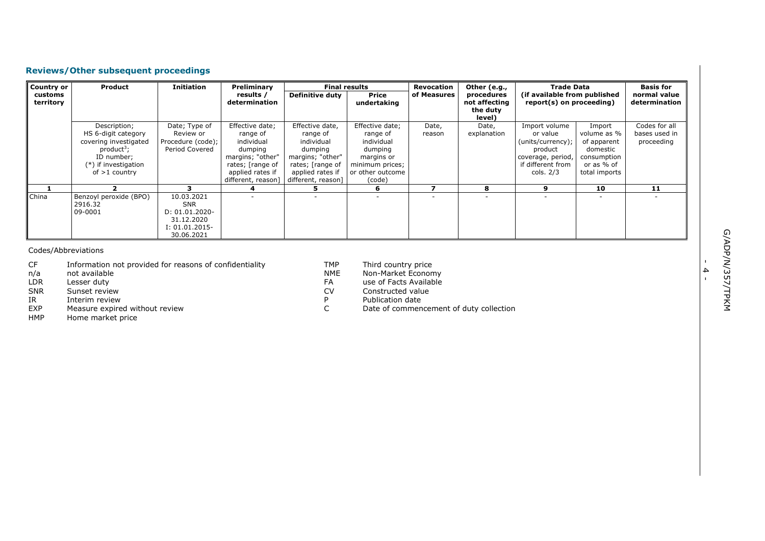# **Reviews/Other subsequent proceedings**

| Country or           | <b>Product</b>                                                                                                                         | <b>Initiation</b>                                                                             | Preliminary                                                                                                                            |                                                                                                                                        | <b>Final results</b>                                                                                                | Revocation      | Other (e.g.,                                      | Trade Data                                                                                                       |                                                                                                | <b>Basis for</b>                             |
|----------------------|----------------------------------------------------------------------------------------------------------------------------------------|-----------------------------------------------------------------------------------------------|----------------------------------------------------------------------------------------------------------------------------------------|----------------------------------------------------------------------------------------------------------------------------------------|---------------------------------------------------------------------------------------------------------------------|-----------------|---------------------------------------------------|------------------------------------------------------------------------------------------------------------------|------------------------------------------------------------------------------------------------|----------------------------------------------|
| customs<br>territory |                                                                                                                                        |                                                                                               | results /<br>determination                                                                                                             | <b>Definitive duty</b>                                                                                                                 | Price<br>undertaking                                                                                                | of Measures     | procedures<br>not affecting<br>the duty<br>level) | (if available from published<br>report(s) on proceeding)                                                         |                                                                                                | normal value<br>determination                |
|                      | Description;<br>HS 6-digit category<br>covering investigated<br>$product^3$ ;<br>ID number;<br>(*) if investigation<br>of $>1$ country | Date; Type of<br>Review or<br>Procedure (code);<br>Period Covered                             | Effective date;<br>range of<br>individual<br>dumping<br>margins; "other"<br>rates; [range of<br>applied rates if<br>different, reason] | Effective date,<br>range of<br>individual<br>dumping<br>margins; "other"<br>rates; [range of<br>applied rates if<br>different, reason] | Effective date;<br>range of<br>individual<br>dumping<br>margins or<br>minimum prices;<br>or other outcome<br>(code) | Date,<br>reason | Date,<br>explanation                              | Import volume<br>or value<br>(units/currency);<br>product<br>coverage, period,<br>if different from<br>cols. 2/3 | Import<br>volume as %<br>of apparent<br>domestic<br>consumption<br>or as % of<br>total imports | Codes for all<br>bases used in<br>proceeding |
|                      |                                                                                                                                        | ٦                                                                                             | 4                                                                                                                                      |                                                                                                                                        | 6.                                                                                                                  |                 | 8                                                 | 9                                                                                                                | 10                                                                                             | 11                                           |
| China                | Benzoyl peroxide (BPO)<br>2916.32<br>09-0001                                                                                           | 10.03.2021<br><b>SNR</b><br>$D: 01.01.2020 -$<br>31.12.2020<br>$I: 01.01.2015-$<br>30.06.2021 |                                                                                                                                        |                                                                                                                                        |                                                                                                                     |                 |                                                   |                                                                                                                  |                                                                                                |                                              |

#### Codes/Abbreviations

- CF Information not provided for reasons of confidentiality<br>
n/a ont available
- n/a not available<br>LDR Lesser duty
- LDR Lesser duty<br>SNR Sunset revie
- SNR Sunset review<br>IR Interim review
- IR Interim review<br>EXP Measure expire
- EXP Measure expired without review<br>HMP Home market price
- Home market price
- 
- TMP Third country price<br>NME Non-Market Econom NME Non-Market Economy
- FA use of Facts Available
- CV Constructed value<br>
P Publication date
- P Publication date<br>C Date of commen-
	- Date of commencement of duty collection

- 4 -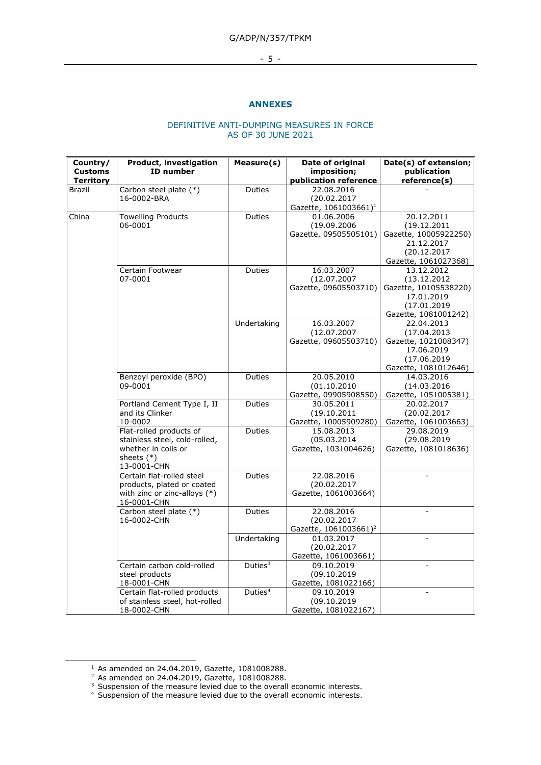- 5 -

# **ANNEXES**

# DEFINITIVE ANTI-DUMPING MEASURES IN FORCE AS OF 30 JUNE 2021

| Country/<br><b>Customs</b><br><b>Territory</b> | Product, investigation<br><b>ID</b> number                                                                     | Measure(s)    | Date of original<br>imposition;<br>publication reference       | Date(s) of extension;<br>publication<br>reference(s)                                                     |
|------------------------------------------------|----------------------------------------------------------------------------------------------------------------|---------------|----------------------------------------------------------------|----------------------------------------------------------------------------------------------------------|
| <b>Brazil</b>                                  | Carbon steel plate (*)<br>16-0002-BRA                                                                          | <b>Duties</b> | 22.08.2016<br>(20.02.2017<br>Gazette, 1061003661) <sup>1</sup> |                                                                                                          |
| China                                          | <b>Towelling Products</b><br>06-0001                                                                           | Duties        | 01.06.2006<br>(19.09.2006)<br>Gazette, 09505505101)            | 20.12.2011<br>(19.12.2011)<br>Gazette, 10005922250)<br>21.12.2017<br>(20.12.2017<br>Gazette, 1061027368) |
|                                                | Certain Footwear<br>07-0001                                                                                    | Duties        | 16.03.2007<br>(12.07.2007<br>Gazette, 09605503710)             | 13.12.2012<br>(13.12.2012<br>Gazette, 10105538220)<br>17.01.2019<br>(17.01.2019<br>Gazette, 1081001242)  |
|                                                |                                                                                                                | Undertaking   | 16.03.2007<br>(12.07.2007<br>Gazette, 09605503710)             | 22.04.2013<br>(17.04.2013<br>Gazette, 1021008347)<br>17.06.2019<br>(17.06.2019<br>Gazette, 1081012646)   |
|                                                | Benzoyl peroxide (BPO)<br>09-0001                                                                              | Duties        | 20.05.2010<br>(01.10.2010<br>Gazette, 09905908550)             | 14.03.2016<br>(14.03.2016<br>Gazette, 1051005381)                                                        |
|                                                | Portland Cement Type I, II<br>and its Clinker<br>10-0002                                                       | <b>Duties</b> | 30.05.2011<br>(19.10.2011<br>Gazette, 10005909280)             | 20.02.2017<br>(20.02.2017<br>Gazette, 1061003663)                                                        |
|                                                | Flat-rolled products of<br>stainless steel, cold-rolled,<br>whether in coils or<br>sheets $(*)$<br>13-0001-CHN | <b>Duties</b> | 15.08.2013<br>(05.03.2014)<br>Gazette, 1031004626)             | 29.08.2019<br>(29.08.2019<br>Gazette, 1081018636)                                                        |
|                                                | Certain flat-rolled steel<br>products, plated or coated<br>with zinc or zinc-alloys $(*)$<br>16-0001-CHN       | <b>Duties</b> | 22.08.2016<br>(20.02.2017<br>Gazette, 1061003664)              |                                                                                                          |
|                                                | Carbon steel plate (*)<br>16-0002-CHN                                                                          | Duties        | 22.08.2016<br>(20.02.2017<br>Gazette, 1061003661) <sup>2</sup> |                                                                                                          |
|                                                |                                                                                                                | Undertaking   | 01.03.2017<br>(20.02.2017<br>Gazette, 1061003661)              |                                                                                                          |
|                                                | Certain carbon cold-rolled<br>steel products<br>18-0001-CHN                                                    | Duties $3$    | 09.10.2019<br>(09.10.2019<br>Gazette, 1081022166)              |                                                                                                          |
|                                                | Certain flat-rolled products<br>of stainless steel, hot-rolled<br>18-0002-CHN                                  | Duties $4$    | 09.10.2019<br>(09.10.2019<br>Gazette, 1081022167)              |                                                                                                          |

 $1$  As amended on 24.04.2019, Gazette, 1081008288.

 $2$  As amended on 24.04.2019, Gazette, 1081008288.

 $3$  Suspension of the measure levied due to the overall economic interests.

<sup>&</sup>lt;sup>4</sup> Suspension of the measure levied due to the overall economic interests.